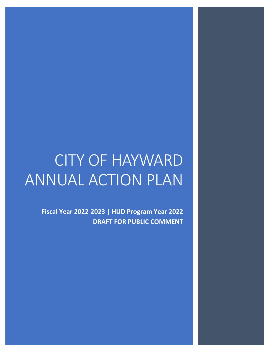# CITY OF HAYWARD ANNUAL ACTION PLAN

**Fiscal Year 2022-2023 | HUD Program Year 2022 DRAFT FOR PUBLIC COMMENT**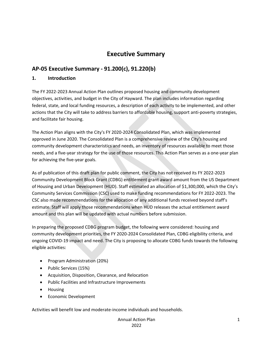## **Executive Summary**

## **AP-05 Executive Summary - 91.200(c), 91.220(b)**

#### **1. Introduction**

The FY 2022-2023 Annual Action Plan outlines proposed housing and community development objectives, activities, and budget in the City of Hayward. The plan includes information regarding federal, state, and local funding resources, a description of each activity to be implemented, and other actions that the City will take to address barriers to affordable housing, support anti-poverty strategies, and facilitate fair housing.

The Action Plan aligns with the City's FY 2020-2024 Consolidated Plan, which was implemented approved in June 2020. The Consolidated Plan is a comprehensive review of the City's housing and community development characteristics and needs, an inventory of resources available to meet those needs, and a five-year strategy for the use of those resources. This Action Plan serves as a one-year plan for achieving the five-year goals.

As of publication of this draft plan for public comment, the City has not received its FY 2022-2023 Community Development Block Grant (CDBG) entitlement grant award amount from the US Department of Housing and Urban Development (HUD). Staff estimated an allocation of \$1,300,000, which the City's Community Services Commission (CSC) used to make funding recommendations for FY 2022-2023. The CSC also made recommendations for the allocation of any additional funds received beyond staff's estimate. Staff will apply those recommendations when HUD releases the actual entitlement award amount and this plan will be updated with actual numbers before submission.

In preparing the proposed CDBG program budget, the following were considered: housing and community development priorities, the FY 2020-2024 Consolidated Plan, CDBG eligibility criteria, and ongoing COVID-19 impact and need. The City is proposing to allocate CDBG funds towards the following eligible activities:

- Program Administration (20%)
- Public Services (15%)
- Acquisition, Disposition, Clearance, and Relocation
- Public Facilities and Infrastructure Improvements
- Housing
- Economic Development

Activities will benefit low and moderate-income individuals and households.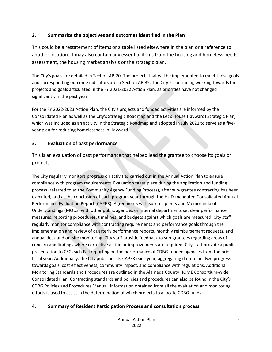## **2. Summarize the objectives and outcomes identified in the Plan**

This could be a restatement of items or a table listed elsewhere in the plan or a reference to another location. It may also contain any essential items from the housing and homeless needs assessment, the housing market analysis or the strategic plan.

The City's goals are detailed in Section AP-20. The projects that will be implemented to meet those goals and corresponding outcome indicators are in Section AP-35. The City is continuing working towards the projects and goals articulated in the FY 2021-2022 Action Plan, as priorities have not changed significantly in the past year.

For the FY 2022-2023 Action Plan, the City's projects and funded activities are informed by the Consolidated Plan as well as the City's Strategic Roadmap and the Let's House Hayward! Strategic Plan, which was included as an activity in the Strategic Roadmap and adopted in July 2021 to serve as a fiveyear plan for reducing homelessness in Hayward.

## **3. Evaluation of past performance**

This is an evaluation of past performance that helped lead the grantee to choose its goals or projects.

The City regularly monitors progress on activities carried out in the Annual Action Plan to ensure compliance with program requirements. Evaluation takes place during the application and funding process (referred to as the Community Agency Funding Process), after sub-grantee contracting has been executed, and at the conclusion of each program year through the HUD-mandated Consolidated Annual Performance Evaluation Report (CAPER). Agreements with sub-recipients and Memoranda of Understandings (MOUs) with other public agencies or internal departments set clear performance measures, reporting procedures, timelines, and budgets against which goals are measured. City staff regularly monitor compliance with contracting requirements and performance goals through the implementation and review of quarterly performance reports, monthly reimbursement requests, and annual desk and on-site monitoring. City staff provide feedback to sub-grantees regarding areas of concern and findings where corrective action or improvements are required. City staff provide a public presentation to CSC each Fall reporting on the performance of CDBG-funded agencies from the prior fiscal year. Additionally, the City publishes its CAPER each year, aggregating data to analyze progress towards goals, cost effectiveness, community impact, and compliance with regulations. Additional Monitoring Standards and Procedures are outlined in the Alameda County HOME Consortium-wide Consolidated Plan. Contracting standards and policies and procedures can also be found in the City's CDBG Policies and Procedures Manual. Information obtained from all the evaluation and monitoring efforts is used to assist in the determination of which projects to allocate CDBG funds.

## **4. Summary of Resident Participation Process and consultation process**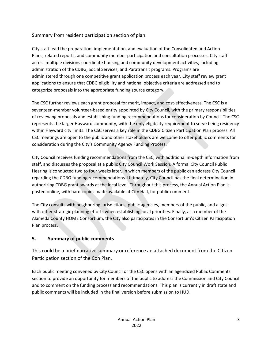Summary from resident participation section of plan.

City staff lead the preparation, implementation, and evaluation of the Consolidated and Action Plans, related reports, and community member participation and consultation processes. City staff across multiple divisions coordinate housing and community development activities, including administration of the CDBG, Social Services, and Paratransit programs. Programs are administered through one competitive grant application process each year. City staff review grant applications to ensure that CDBG eligibility and national objective criteria are addressed and to categorize proposals into the appropriate funding source category.

The CSC further reviews each grant proposal for merit, impact, and cost-effectiveness. The CSC is a seventeen-member volunteer-based entity appointed by City Council, with the primary responsibilities of reviewing proposals and establishing funding recommendations for consideration by Council. The CSC represents the larger Hayward community, with the only eligibility requirement to serve being residency within Hayward city limits. The CSC serves a key role in the CDBG Citizen Participation Plan process. All CSC meetings are open to the public and other stakeholders are welcome to offer public comments for consideration during the City's Community Agency Funding Process.

City Council receives funding recommendations from the CSC, with additional in-depth information from staff, and discusses the proposal at a public City Council Work Session. A formal City Council Public Hearing is conducted two to four weeks later, in which members of the public can address City Council regarding the CDBG funding recommendations. Ultimately, City Council has the final determination in authorizing CDBG grant awards at the local level. Throughout this process, the Annual Action Plan is posted online, with hard copies made available at City Hall, for public comment.

The City consults with neighboring jurisdictions, public agencies, members of the public, and aligns with other strategic planning efforts when establishing local priorities. Finally, as a member of the Alameda County HOME Consortium, the City also participates in the Consortium's Citizen Participation Plan process.

## **5. Summary of public comments**

This could be a brief narrative summary or reference an attached document from the Citizen Participation section of the Con Plan.

Each public meeting convened by City Council or the CSC opens with an agendized Public Comments section to provide an opportunity for members of the public to address the Commission and City Council and to comment on the funding process and recommendations. This plan is currently in draft state and public comments will be included in the final version before submission to HUD.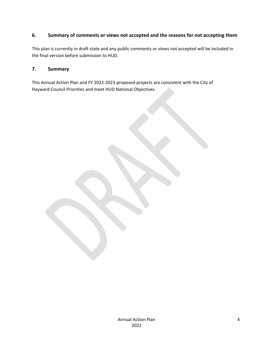#### **6. Summary of comments or views not accepted and the reasons for not accepting them**

This plan is currently in draft state and any public comments or views not accepted will be included in the final version before submission to HUD.

#### **7. Summary**

This Annual Action Plan and FY 2022-2023 proposed projects are consistent with the City of Hayward Council Priorities and meet HUD National Objectives.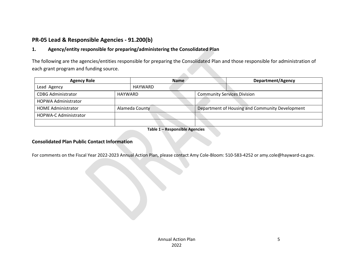## **PR-05 Lead & Responsible Agencies - 91.200(b)**

## **1. Agency/entity responsible for preparing/administering the Consolidated Plan**

The following are the agencies/entities responsible for preparing the Consolidated Plan and those responsible for administration of each grant program and funding source.

| <b>Agency Role</b>           | <b>Name</b>    |                |  | Department/Agency                  |                                                 |
|------------------------------|----------------|----------------|--|------------------------------------|-------------------------------------------------|
| Lead Agency                  |                | HAYWARD        |  |                                    |                                                 |
| <b>CDBG Administrator</b>    | <b>HAYWARD</b> |                |  | <b>Community Services Division</b> |                                                 |
| <b>HOPWA Administrator</b>   |                |                |  |                                    |                                                 |
| <b>HOME Administrator</b>    |                | Alameda County |  |                                    | Department of Housing and Community Development |
| <b>HOPWA-C Administrator</b> |                |                |  |                                    |                                                 |
|                              |                |                |  |                                    |                                                 |

**Table 1 – Responsible Agencies**

#### **Consolidated Plan Public Contact Information**

For comments on the Fiscal Year 2022-2023 Annual Action Plan, please contact Amy Cole-Bloom: 510-583-4252 or amy.cole@hayward-ca.gov.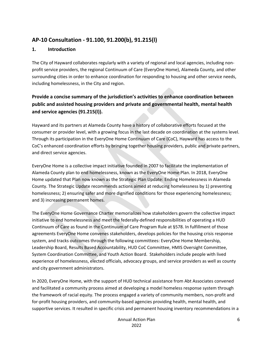## **AP-10 Consultation - 91.100, 91.200(b), 91.215(l)**

#### **1. Introduction**

The City of Hayward collaborates regularly with a variety of regional and local agencies, including nonprofit service providers, the regional Continuum of Care (EveryOne Home), Alameda County, and other surrounding cities in order to enhance coordination for responding to housing and other service needs, including homelessness, in the City and region.

## **Provide a concise summary of the jurisdiction's activities to enhance coordination between public and assisted housing providers and private and governmental health, mental health and service agencies (91.215(l)).**

Hayward and its partners at Alameda County have a history of collaborative efforts focused at the consumer or provider level, with a growing focus in the last decade on coordination at the systems level. Through its participation in the EveryOne Home Continuum of Care (CoC), Hayward has access to the CoC's enhanced coordination efforts by bringing together housing providers, public and private partners, and direct service agencies.

EveryOne Home is a collective impact initiative founded in 2007 to facilitate the implementation of Alameda County plan to end homelessness, known as the EveryOne Home Plan. In 2018, EveryOne Home updated that Plan now known as the Strategic Plan Update: Ending Homelessness in Alameda County. The Strategic Update recommends actions aimed at reducing homelessness by 1) preventing homelessness; 2) ensuring safer and more dignified conditions for those experiencing homelessness; and 3) increasing permanent homes.

The EveryOne Home Governance Charter memorializes how stakeholders govern the collective impact initiative to end homelessness and meet the federally-defined responsibilities of operating a HUD Continuum of Care as found in the Continuum of Care Program Rule at §578. In fulfillment of those agreements EveryOne Home convenes stakeholders, develops policies for the housing crisis response system, and tracks outcomes through the following committees: EveryOne Home Membership, Leadership Board, Results Based Accountability, HUD CoC Committee, HMIS Oversight Committee, System Coordination Committee, and Youth Action Board. Stakeholders include people with lived experience of homelessness, elected officials, advocacy groups, and service providers as well as county and city government administrators.

In 2020, EveryOne Home, with the support of HUD technical assistance from Abt Associates convened and facilitated a community process aimed at developing a model homeless response system through the framework of racial equity. The process engaged a variety of community members, non-profit and for-profit housing providers, and community-based agencies providing health, mental health, and supportive services. It resulted in specific crisis and permanent housing inventory recommendations in a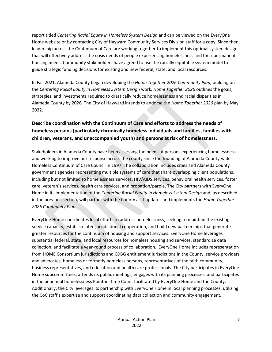report titled *Centering Racial Equity in Homeless System Design* and can be viewed on the EveryOne Home website or by contacting City of Hayward Community Services Division staff for a copy. Since then, leadership across the Continuum of Care are working together to implement this optimal system design that will effectively address the crisis needs of people experiencing homelessness and their permanent housing needs. Community stakeholders have agreed to use the racially equitable system model to guide strategic funding decisions for existing and new federal, state, and local resources.

In Fall 2021, Alameda County began developing the *Home Together 2026 Community Plan*, building on the *Centering Racial Equity in Homeless System Design* work. *Home Together 2026* outlines the goals, strategies, and investments required to drastically reduce homelessness and racial disparities in Alameda County by 2026. The City of Hayward intends to endorse the *Home Together 2026* plan by May 2022.

## **Describe coordination with the Continuum of Care and efforts to address the needs of homeless persons (particularly chronically homeless individuals and families, families with children, veterans, and unaccompanied youth) and persons at risk of homelessness.**

Stakeholders in Alameda County have been assessing the needs of persons experiencing homelessness and working to improve our response across the county since the founding of Alameda County-wide Homeless Continuum of Care Council in 1997. The collaboration includes cities and Alameda County government agencies representing multiple systems of care that share overlapping client populations, including but not limited to homelessness services, HIV/AIDS services, behavioral health services, foster care, veteran's services, health care services, and probation/parole. The City partners with EveryOne Home in its implementation of the *Centering Racial Equity in Homeless System Design* and, as described in the previous section, will partner with the County as it updates and implements the *Home Together 2026 Community Plan*.

EveryOne Home coordinates local efforts to address homelessness, seeking to maintain the existing service capacity, establish inter-jurisdictional cooperation, and build new partnerships that generate greater resources for the continuum of housing and support services. EveryOne Home leverages substantial federal, state, and local resources for homeless housing and services, standardize data collection, and facilitate a year-round process of collaboration. EveryOne Home includes representation from HOME Consortium jurisdictions and CDBG entitlement jurisdictions in the County, service providers and advocates, homeless or formerly homeless persons, representatives of the faith community, business representatives, and education and health care professionals. The City participates in EveryOne Home subcommittees, attends its public meetings, engages with its planning processes, and participates in the bi-annual homelessness Point-in-Time Count facilitated by EveryOne Home and the County. Additionally, the City leverages its partnership with EveryOne Home in local planning processes, utilizing the CoC staff's expertise and support coordinating data collection and community engagement.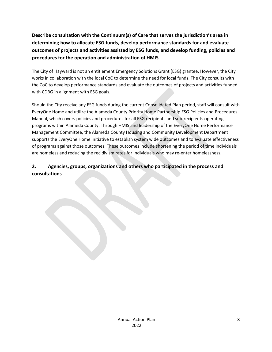**Describe consultation with the Continuum(s) of Care that serves the jurisdiction's area in determining how to allocate ESG funds, develop performance standards for and evaluate outcomes of projects and activities assisted by ESG funds, and develop funding, policies and procedures for the operation and administration of HMIS**

The City of Hayward is not an entitlement Emergency Solutions Grant (ESG) grantee. However, the City works in collaboration with the local CoC to determine the need for local funds. The City consults with the CoC to develop performance standards and evaluate the outcomes of projects and activities funded with CDBG in alignment with ESG goals.

Should the City receive any ESG funds during the current Consolidated Plan period, staff will consult with EveryOne Home and utilize the Alameda County Priority Home Partnership ESG Policies and Procedures Manual, which covers policies and procedures for all ESG recipients and sub-recipients operating programs within Alameda County. Through HMIS and leadership of the EveryOne Home Performance Management Committee, the Alameda County Housing and Community Development Department supports the EveryOne Home initiative to establish system wide outcomes and to evaluate effectiveness of programs against those outcomes. These outcomes include shortening the period of time individuals are homeless and reducing the recidivism rates for individuals who may re-enter homelessness.

## **2. Agencies, groups, organizations and others who participated in the process and consultations**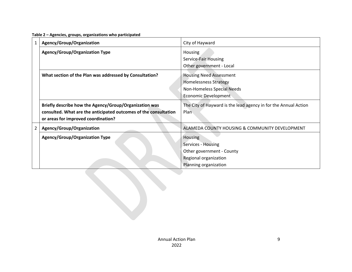| $\mathbf{1}$ | Agency/Group/Organization                                        | City of Hayward                                                 |
|--------------|------------------------------------------------------------------|-----------------------------------------------------------------|
|              | <b>Agency/Group/Organization Type</b>                            | Housing                                                         |
|              |                                                                  | Service-Fair Housing                                            |
|              |                                                                  | Other government - Local                                        |
|              | What section of the Plan was addressed by Consultation?          | <b>Housing Need Assessment</b>                                  |
|              |                                                                  | <b>Homelessness Strategy</b>                                    |
|              |                                                                  | Non-Homeless Special Needs                                      |
|              |                                                                  | Economic Development                                            |
|              |                                                                  |                                                                 |
|              | Briefly describe how the Agency/Group/Organization was           | The City of Hayward is the lead agency in for the Annual Action |
|              | consulted. What are the anticipated outcomes of the consultation | Plan                                                            |
|              | or areas for improved coordination?                              |                                                                 |
| 2            | Agency/Group/Organization                                        | ALAMEDA COUNTY HOUSING & COMMUNITY DEVELOPMENT                  |
|              | <b>Agency/Group/Organization Type</b>                            | Housing                                                         |
|              |                                                                  | Services - Housing                                              |
|              |                                                                  | Other government - County                                       |
|              |                                                                  | Regional organization                                           |

**Table 2 – Agencies, groups, organizations who participated**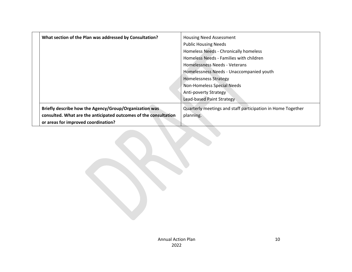| What section of the Plan was addressed by Consultation?          | <b>Housing Need Assessment</b>                              |
|------------------------------------------------------------------|-------------------------------------------------------------|
|                                                                  | <b>Public Housing Needs</b>                                 |
|                                                                  | Homeless Needs - Chronically homeless                       |
|                                                                  | Homeless Needs - Families with children                     |
|                                                                  | Homelessness Needs - Veterans                               |
|                                                                  | Homelessness Needs - Unaccompanied youth                    |
|                                                                  | <b>Homelessness Strategy</b>                                |
|                                                                  | Non-Homeless Special Needs                                  |
|                                                                  | <b>Anti-poverty Strategy</b>                                |
|                                                                  | Lead-based Paint Strategy                                   |
| Briefly describe how the Agency/Group/Organization was           | Quarterly meetings and staff participation in Home Together |
| consulted. What are the anticipated outcomes of the consultation | planning.                                                   |
| or areas for improved coordination?                              |                                                             |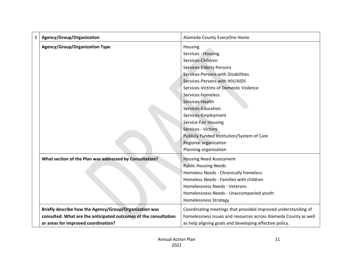| 3 | Agency/Group/Organization                                        | Alameda County EveryOne Home                                    |  |  |
|---|------------------------------------------------------------------|-----------------------------------------------------------------|--|--|
|   | <b>Agency/Group/Organization Type</b>                            | Housing                                                         |  |  |
|   |                                                                  | Services - Housing                                              |  |  |
|   |                                                                  | Services-Children                                               |  |  |
|   |                                                                  | <b>Services-Elderly Persons</b>                                 |  |  |
|   |                                                                  | Services-Persons with Disabilities                              |  |  |
|   |                                                                  | Services-Persons with HIV/AIDS                                  |  |  |
|   |                                                                  | Services-Victims of Domestic Violence                           |  |  |
|   |                                                                  | Services-homeless                                               |  |  |
|   |                                                                  | Services-Health                                                 |  |  |
|   |                                                                  | Services-Education                                              |  |  |
|   |                                                                  | Services-Employment                                             |  |  |
|   |                                                                  | Service-Fair Housing                                            |  |  |
|   |                                                                  | Services - Victims                                              |  |  |
|   |                                                                  | Publicly Funded Institution/System of Care                      |  |  |
|   |                                                                  | Regional organization                                           |  |  |
|   |                                                                  | Planning organization                                           |  |  |
|   | What section of the Plan was addressed by Consultation?          | <b>Housing Need Assessment</b>                                  |  |  |
|   |                                                                  | <b>Public Housing Needs</b>                                     |  |  |
|   |                                                                  | Homeless Needs - Chronically homeless                           |  |  |
|   |                                                                  | Homeless Needs - Families with children                         |  |  |
|   |                                                                  | Homelessness Needs - Veterans                                   |  |  |
|   |                                                                  | Homelessness Needs - Unaccompanied youth                        |  |  |
|   |                                                                  | <b>Homelessness Strategy</b>                                    |  |  |
|   | Briefly describe how the Agency/Group/Organization was           | Coordinating meetings that provided improved understanding of   |  |  |
|   | consulted. What are the anticipated outcomes of the consultation | homelessness issues and resources across Alameda County as well |  |  |
|   | or areas for improved coordination?                              | as help aligning goals and developing effective policy.         |  |  |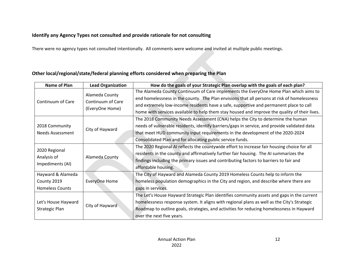#### **Identify any Agency Types not consulted and provide rationale for not consulting**

There were no agency types not consulted intentionally. All comments were welcome and invited at multiple public meetings.

## **Other local/regional/state/federal planning efforts considered when preparing the Plan**

| Name of Plan            | <b>Lead Organization</b> | How do the goals of your Strategic Plan overlap with the goals of each plan?                  |  |  |  |
|-------------------------|--------------------------|-----------------------------------------------------------------------------------------------|--|--|--|
|                         | Alameda County           | The Alameda County Continuum of Care implements the EveryOne Home Plan which aims to          |  |  |  |
| Continuum of Care       | Continuum of Care        | end homelessness in the county. The Plan envisions that all persons at risk of homelessness   |  |  |  |
|                         |                          | and extremely low-income residents have a safe, supportive and permanent place to call        |  |  |  |
|                         | (EveryOne Home)          | home with services available to help them stay housed and improve the quality of their lives. |  |  |  |
|                         |                          | The 2018 Community Needs Assessment (CNA) helps the City to determine the human               |  |  |  |
| 2018 Community          |                          | needs of vulnerable residents, identify barriers/gaps in service, and provide validated data  |  |  |  |
| <b>Needs Assessment</b> | City of Hayward          | that meet HUD community input requirements in the development of the 2020-2024                |  |  |  |
|                         |                          | Consolidated Plan and for allocating public service funds.                                    |  |  |  |
|                         |                          | The 2020 Regional AI reflects the countywide effort to increase fair housing choice for all   |  |  |  |
| 2020 Regional           |                          | residents in the county and affirmatively further fair housing. The AI summarizes the         |  |  |  |
| Analysis of             | Alameda County           | findings including the primary issues and contributing factors to barriers to fair and        |  |  |  |
| Impediments (AI)        |                          | affordable housing.                                                                           |  |  |  |
| Hayward & Alameda       |                          | The City of Hayward and Alameda County 2019 Homeless Counts help to inform the                |  |  |  |
| County 2019             | EveryOne Home            | homeless population demographics in the City and region, and describe where there are         |  |  |  |
| <b>Homeless Counts</b>  |                          | gaps in services.                                                                             |  |  |  |
|                         |                          | The Let's House Hayward Strategic Plan identifies community assets and gaps in the current    |  |  |  |
| Let's House Hayward     |                          | homelessness response system. It aligns with regional plans as well as the City's Strategic   |  |  |  |
| Strategic Plan          | City of Hayward          | Roadmap to outline goals, strategies, and activities for reducing homelessness in Hayward     |  |  |  |
|                         |                          | over the next five years.                                                                     |  |  |  |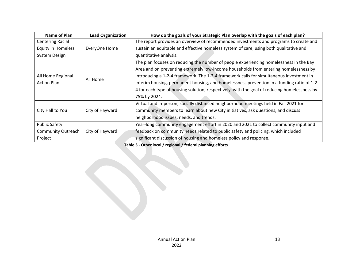| Name of Plan              | <b>Lead Organization</b> | How do the goals of your Strategic Plan overlap with the goals of each plan?                 |  |  |  |
|---------------------------|--------------------------|----------------------------------------------------------------------------------------------|--|--|--|
| <b>Centering Racial</b>   |                          | The report provides an overview of recommended investments and programs to create and        |  |  |  |
| <b>Equity in Homeless</b> | EveryOne Home            | sustain an equitable and effective homeless system of care, using both qualitative and       |  |  |  |
| System Design             |                          | quantitative analysis.                                                                       |  |  |  |
|                           |                          | The plan focuses on reducing the number of people experiencing homelessness in the Bay       |  |  |  |
|                           |                          | Area and on preventing extremely low-income households from entering homelessness by         |  |  |  |
| All Home Regional         |                          | introducing a 1-2-4 framework. The 1-2-4 framework calls for simultaneous investment in      |  |  |  |
| <b>Action Plan</b>        | All Home                 | interim housing, permanent housing, and homelessness prevention in a funding ratio of 1-2-   |  |  |  |
|                           |                          | 4 for each type of housing solution, respectively, with the goal of reducing homelessness by |  |  |  |
|                           |                          | 75% by 2024.                                                                                 |  |  |  |
|                           |                          | Virtual and in-person, socially distanced neighborhood meetings held in Fall 2021 for        |  |  |  |
| City Hall to You          | City of Hayward          | community members to learn about new City initiatives, ask questions, and discuss            |  |  |  |
|                           |                          | neighborhood issues, needs, and trends.                                                      |  |  |  |
| <b>Public Safety</b>      |                          | Year-long community engagement effort in 2020 and 2021 to collect community input and        |  |  |  |
| <b>Community Outreach</b> | City of Hayward          | feedback on community needs related to public safety and policing, which included            |  |  |  |
| Project                   |                          | significant discussion of housing and homeless policy and response.                          |  |  |  |

**Table 3 - Other local / regional / federal planning efforts**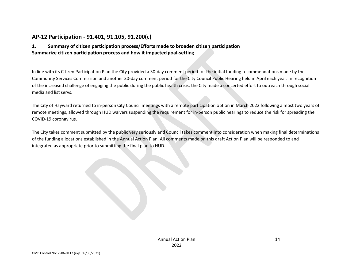## **AP-12 Participation - 91.401, 91.105, 91.200(c)**

#### **1. Summary of citizen participation process/Efforts made to broaden citizen participation Summarize citizen participation process and how it impacted goal-setting**

In line with its Citizen Participation Plan the City provided a 30-day comment period for the initial funding recommendations made by the Community Services Commission and another 30-day comment period for the City Council Public Hearing held in April each year. In recognition of the increased challenge of engaging the public during the public health crisis, the City made a concerted effort to outreach through social media and list servs.

The City of Hayward returned to in-person City Council meetings with a remote participation option in March 2022 following almost two years of remote meetings, allowed through HUD waivers suspending the requirement for in-person public hearings to reduce the risk for spreading the COVID-19 coronavirus.

The City takes comment submitted by the public very seriously and Council takes comment into consideration when making final determinations of the funding allocations established in the Annual Action Plan. All comments made on this draft Action Plan will be responded to and integrated as appropriate prior to submitting the final plan to HUD.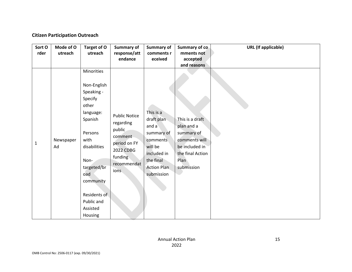#### **Citizen Participation Outreach**

| Sort O<br>rder | Mode of O<br>utreach | Target of O<br>utreach                                                                                                                                                                                                 | <b>Summary of</b><br>response/att<br>endance                                                                           | Summary of<br>comments r<br>eceived                                                                                                   | Summary of co<br>mments not<br>accepted<br>and reasons                                                                   | <b>URL</b> (If applicable) |
|----------------|----------------------|------------------------------------------------------------------------------------------------------------------------------------------------------------------------------------------------------------------------|------------------------------------------------------------------------------------------------------------------------|---------------------------------------------------------------------------------------------------------------------------------------|--------------------------------------------------------------------------------------------------------------------------|----------------------------|
| 1              | Newspaper<br>Ad      | Minorities<br>Non-English<br>Speaking -<br>Specify<br>other<br>language:<br>Spanish<br>Persons<br>with<br>disabilities<br>Non-<br>targeted/br<br>oad<br>community<br>Residents of<br>Public and<br>Assisted<br>Housing | <b>Public Notice</b><br>regarding<br>public<br>comment<br>period on FY<br>2022 CDBG<br>funding<br>recommendat<br>ions. | This is a<br>draft plan<br>and a<br>summary of<br>comments<br>will be<br>included in<br>the final<br><b>Action Plan</b><br>submission | This is a draft<br>plan and a<br>summary of<br>comments will<br>be included in<br>the final Action<br>Plan<br>submission |                            |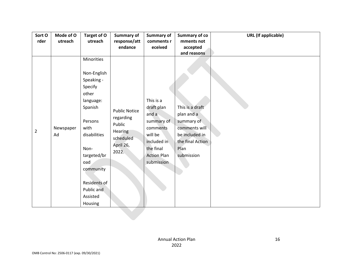| Sort O         | Mode of O       | Target of O                                                                                                                     | <b>Summary of</b>                                                                         | <b>Summary of</b>                                                                                          | Summary of co                                                                                         | <b>URL</b> (If applicable) |
|----------------|-----------------|---------------------------------------------------------------------------------------------------------------------------------|-------------------------------------------------------------------------------------------|------------------------------------------------------------------------------------------------------------|-------------------------------------------------------------------------------------------------------|----------------------------|
| rder           | utreach         | utreach                                                                                                                         | response/att                                                                              | comments r                                                                                                 | mments not                                                                                            |                            |
|                |                 |                                                                                                                                 | endance                                                                                   | eceived                                                                                                    | accepted                                                                                              |                            |
|                |                 |                                                                                                                                 |                                                                                           |                                                                                                            | and reasons                                                                                           |                            |
|                |                 | Minorities                                                                                                                      |                                                                                           |                                                                                                            |                                                                                                       |                            |
|                |                 | Non-English                                                                                                                     |                                                                                           |                                                                                                            |                                                                                                       |                            |
|                |                 | Speaking -                                                                                                                      |                                                                                           |                                                                                                            |                                                                                                       |                            |
|                |                 | Specify                                                                                                                         |                                                                                           |                                                                                                            |                                                                                                       |                            |
|                |                 | other                                                                                                                           |                                                                                           |                                                                                                            |                                                                                                       |                            |
|                |                 | language:                                                                                                                       |                                                                                           | This is a                                                                                                  |                                                                                                       |                            |
|                |                 | Spanish                                                                                                                         |                                                                                           | draft plan                                                                                                 | This is a draft                                                                                       |                            |
| $\overline{2}$ | Newspaper<br>Ad | Persons<br>with<br>disabilities<br>Non-<br>targeted/br<br>oad<br>community<br>Residents of<br>Public and<br>Assisted<br>Housing | <b>Public Notice</b><br>regarding<br>Public<br>Hearing<br>scheduled<br>April 26,<br>2022. | and a<br>summary of<br>comments<br>will be<br>included in<br>the final<br><b>Action Plan</b><br>submission | plan and a<br>summary of<br>comments will<br>be included in<br>the final Action<br>Plan<br>submission |                            |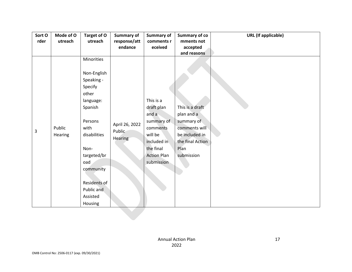| Sort O      | Mode of O         | Target of O                                                                                                                                                       | <b>Summary of</b>                   | Summary of                                                                                                                            | <b>Summary of co</b>                                                                                                                    | <b>URL</b> (If applicable) |
|-------------|-------------------|-------------------------------------------------------------------------------------------------------------------------------------------------------------------|-------------------------------------|---------------------------------------------------------------------------------------------------------------------------------------|-----------------------------------------------------------------------------------------------------------------------------------------|----------------------------|
| rder        | utreach           | utreach                                                                                                                                                           | response/att                        | comments r                                                                                                                            | mments not                                                                                                                              |                            |
|             |                   |                                                                                                                                                                   | endance                             | eceived                                                                                                                               | accepted                                                                                                                                |                            |
|             |                   |                                                                                                                                                                   |                                     |                                                                                                                                       |                                                                                                                                         |                            |
| $\mathsf 3$ | Public<br>Hearing | Minorities<br>Non-English<br>Speaking -<br>Specify<br>other<br>language:<br>Spanish<br>Persons<br>with<br>disabilities<br>Non-<br>targeted/br<br>oad<br>community | April 26, 2022<br>Public<br>Hearing | This is a<br>draft plan<br>and a<br>summary of<br>comments<br>will be<br>included in<br>the final<br><b>Action Plan</b><br>submission | and reasons<br>This is a draft<br>plan and a<br>summary of<br>comments will<br>be included in<br>the final Action<br>Plan<br>submission |                            |
|             |                   | Residents of<br>Public and<br>Assisted<br>Housing                                                                                                                 |                                     |                                                                                                                                       |                                                                                                                                         |                            |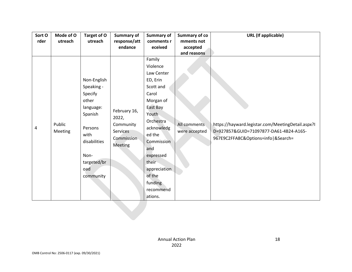| Sort O | Mode of O | Target of O  | <b>Summary of</b> | Summary of   | Summary of co | <b>URL</b> (If applicable)                        |
|--------|-----------|--------------|-------------------|--------------|---------------|---------------------------------------------------|
| rder   | utreach   | utreach      | response/att      | comments r   | mments not    |                                                   |
|        |           |              | endance           | eceived      | accepted      |                                                   |
|        |           |              |                   |              | and reasons   |                                                   |
|        |           |              |                   | Family       |               |                                                   |
|        |           |              |                   | Violence     |               |                                                   |
|        |           |              |                   | Law Center   |               |                                                   |
|        |           | Non-English  |                   | ED, Erin     |               |                                                   |
|        |           | Speaking -   |                   | Scott and    |               |                                                   |
|        |           | Specify      |                   | Carol        |               |                                                   |
|        |           | other        |                   | Morgan of    |               |                                                   |
|        |           | language:    |                   | East Bay     |               |                                                   |
|        |           | Spanish      | February 16,      | Youth        |               |                                                   |
|        |           |              | 2022,             | Orchestra    |               |                                                   |
| 4      | Public    | Persons      | Community         | acknowledg   | All comments  | https://hayward.legistar.com/MeetingDetail.aspx?I |
|        | Meeting   | with         | Services          | ed the       | were accepted | D=927857&GUID=71097877-DA61-4B24-A165-            |
|        |           | disabilities | Commission        | Commission   |               | 967E9C2FFA8C&Options=info &Search=                |
|        |           |              | <b>Meeting</b>    | and          |               |                                                   |
|        |           | Non-         |                   | expressed    |               |                                                   |
|        |           | targeted/br  |                   | their        |               |                                                   |
|        |           | oad          |                   | appreciation |               |                                                   |
|        |           | community    |                   | of the       |               |                                                   |
|        |           |              |                   | funding      |               |                                                   |
|        |           |              |                   | recommend    |               |                                                   |
|        |           |              |                   | ations.      |               |                                                   |
|        |           |              |                   |              |               |                                                   |
|        |           |              |                   |              |               |                                                   |
|        |           |              |                   |              |               |                                                   |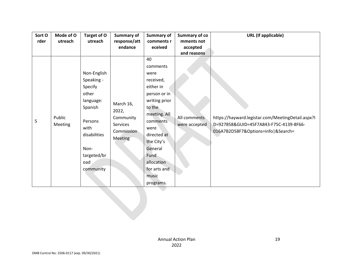| Sort O | Mode of O      | Target of O  | Summary of      | Summary of    | <b>Summary of co</b> | <b>URL</b> (If applicable)                        |
|--------|----------------|--------------|-----------------|---------------|----------------------|---------------------------------------------------|
| rder   | utreach        | utreach      | response/att    | comments r    | mments not           |                                                   |
|        |                |              | endance         | eceived       | accepted             |                                                   |
|        |                |              |                 |               | and reasons          |                                                   |
|        |                |              |                 | 40            |                      |                                                   |
|        |                |              |                 | comments      |                      |                                                   |
|        |                | Non-English  |                 | were          |                      |                                                   |
|        |                | Speaking -   |                 | received,     |                      |                                                   |
|        |                | Specify      |                 | either in     |                      |                                                   |
|        |                | other        |                 | person or in  |                      |                                                   |
|        |                | language:    |                 | writing prior |                      |                                                   |
|        |                | Spanish      | March 16,       | to the        |                      |                                                   |
|        |                |              | 2022,           | meeting. All  |                      |                                                   |
| 5      | Public         | Persons      | Community       | comments      | All comments         | https://hayward.legistar.com/MeetingDetail.aspx?I |
|        | <b>Meeting</b> | with         | <b>Services</b> | were          | were accepted        | D=927858&GUID=45F7A843-F75C-4139-8F66-            |
|        |                | disabilities | Commission      | directed at   |                      | 016A7B2D58F7&Options=info   & Search=             |
|        |                |              | Meeting         | the City's    |                      |                                                   |
|        |                | Non-         |                 | General       |                      |                                                   |
|        |                | targeted/br  |                 | Fund          |                      |                                                   |
|        |                | oad          |                 | allocation    |                      |                                                   |
|        |                | community    |                 | for arts and  |                      |                                                   |
|        |                |              |                 |               |                      |                                                   |
|        |                |              |                 | music         |                      |                                                   |
|        |                |              |                 | programs.     |                      |                                                   |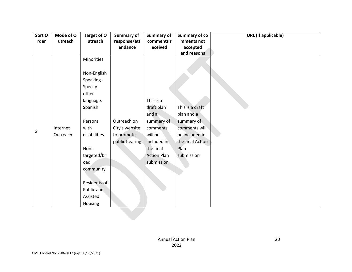| Sort O | Mode of O | Target of O  | Summary of     | Summary of         | <b>Summary of co</b> | <b>URL</b> (If applicable) |
|--------|-----------|--------------|----------------|--------------------|----------------------|----------------------------|
| rder   | utreach   | utreach      | response/att   | comments r         | mments not           |                            |
|        |           |              | endance        | eceived            | accepted             |                            |
|        |           |              |                |                    | and reasons          |                            |
|        |           | Minorities   |                |                    |                      |                            |
|        |           |              |                |                    |                      |                            |
|        |           | Non-English  |                |                    |                      |                            |
|        |           | Speaking -   |                |                    |                      |                            |
|        |           | Specify      |                |                    |                      |                            |
|        |           | other        |                |                    |                      |                            |
|        |           | language:    |                | This is a          |                      |                            |
|        |           | Spanish      |                | draft plan         | This is a draft      |                            |
|        |           |              |                | and a              | plan and a           |                            |
|        |           | Persons      | Outreach on    | summary of         | summary of           |                            |
| 6      | Internet  | with         | City's website | comments           | comments will        |                            |
|        | Outreach  | disabilities | to promote     | will be            | be included in       |                            |
|        |           |              | public hearing | included in        | the final Action     |                            |
|        |           | Non-         |                | the final          | Plan                 |                            |
|        |           | targeted/br  |                | <b>Action Plan</b> | submission           |                            |
|        |           | oad          |                | submission         |                      |                            |
|        |           | community    |                |                    |                      |                            |
|        |           |              |                |                    |                      |                            |
|        |           | Residents of |                |                    |                      |                            |
|        |           | Public and   |                |                    |                      |                            |
|        |           | Assisted     |                |                    |                      |                            |
|        |           | Housing      |                |                    |                      |                            |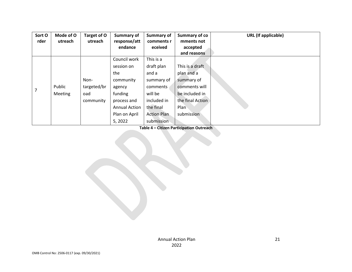| Sort O<br>rder | Mode of O<br>utreach | Target of O<br>utreach | <b>Summary of</b><br>response/att | Summary of<br>comments r | Summary of co<br>mments not | <b>URL</b> (If applicable) |
|----------------|----------------------|------------------------|-----------------------------------|--------------------------|-----------------------------|----------------------------|
|                |                      |                        | endance                           | eceived                  | accepted                    |                            |
|                |                      |                        |                                   |                          | and reasons                 |                            |
|                |                      |                        | Council work                      | This is a                |                             |                            |
|                |                      |                        | session on                        | draft plan               | This is a draft             |                            |
|                |                      |                        | the                               | and a                    | plan and a                  |                            |
|                |                      | Non-                   | community                         | summary of               | summary of                  |                            |
| 7              | Public               | targeted/br            | agency                            | comments                 | comments will               |                            |
|                | <b>Meeting</b>       | oad                    | funding                           | will be                  | be included in              |                            |
|                |                      | community              | process and                       | included in              | the final Action            |                            |
|                |                      |                        | <b>Annual Action</b>              | the final                | Plan                        |                            |
|                |                      |                        | Plan on April                     | <b>Action Plan</b>       | submission                  |                            |
|                |                      |                        | 5, 2022                           | submission               |                             |                            |

**Table 4 – Citizen Participation Outreach**

Annual Action Plan 2022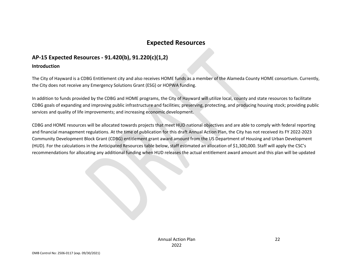## **Expected Resources**

## **AP-15 Expected Resources - 91.420(b), 91.220(c)(1,2)**

#### **Introduction**

The City of Hayward is a CDBG Entitlement city and also receives HOME funds as a member of the Alameda County HOME consortium. Currently, the City does not receive any Emergency Solutions Grant (ESG) or HOPWA funding.

In addition to funds provided by the CDBG and HOME programs, the City of Hayward will utilize local, county and state resources to facilitate CDBG goals of expanding and improving public infrastructure and facilities; preserving, protecting, and producing housing stock; providing public services and quality of life improvements; and increasing economic development.

CDBG and HOME resources will be allocated towards projects that meet HUD national objectives and are able to comply with federal reporting and financial management regulations. At the time of publication for this draft Annual Action Plan, the City has not received its FY 2022-2023 Community Development Block Grant (CDBG) entitlement grant award amount from the US Department of Housing and Urban Development (HUD). For the calculations in the Anticipated Resources table below, staff estimated an allocation of \$1,300,000. Staff will apply the CSC's recommendations for allocating any additional funding when HUD releases the actual entitlement award amount and this plan will be updated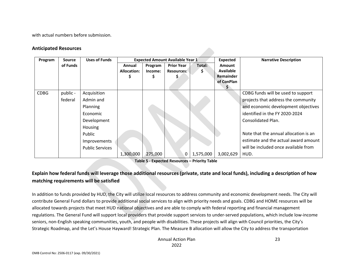with actual numbers before submission.

#### **Anticipated Resources**

| Program     | Source              | <b>Uses of Funds</b>                                                                                                           |                              |                    | <b>Expected Amount Available Year 1</b> |              | <b>Expected</b>                                              | <b>Narrative Description</b>                                                                                                                                                                                                                                                                              |
|-------------|---------------------|--------------------------------------------------------------------------------------------------------------------------------|------------------------------|--------------------|-----------------------------------------|--------------|--------------------------------------------------------------|-----------------------------------------------------------------------------------------------------------------------------------------------------------------------------------------------------------------------------------------------------------------------------------------------------------|
|             | of Funds            |                                                                                                                                | Annual<br><b>Allocation:</b> | Program<br>Income: | <b>Prior Year</b><br><b>Resources:</b>  | Total:<br>S. | <b>Amount</b><br><b>Available</b><br>Remainder<br>of ConPlan |                                                                                                                                                                                                                                                                                                           |
| <b>CDBG</b> | public -<br>federal | Acquisition<br>Admin and<br>Planning<br>Economic<br>Development<br>Housing<br>Public<br>Improvements<br><b>Public Services</b> | 1,300,000                    | 275,000            | 0                                       | 1,575,000    | 3,002,629                                                    | CDBG funds will be used to support<br>projects that address the community<br>and economic development objectives<br>identified in the FY 2020-2024<br>Consolidated Plan.<br>Note that the annual allocation is an<br>estimate and the actual award amount<br>will be included once available from<br>HUD. |

**Table 5 - Expected Resources – Priority Table**

## **Explain how federal funds will leverage those additional resources (private, state and local funds), including a description of how matching requirements will be satisfied**

In addition to funds provided by HUD, the City will utilize local resources to address community and economic development needs. The City will contribute General Fund dollars to provide additional social services to align with priority needs and goals. CDBG and HOME resources will be allocated towards projects that meet HUD national objectives and are able to comply with federal reporting and financial management regulations. The General Fund will support local providers that provide support services to under-served populations, which include low-income seniors, non-English speaking communities, youth, and people with disabilities. These projects will align with Council priorities, the City's Strategic Roadmap, and the Let's House Hayward! Strategic Plan. The Measure B allocation will allow the City to address the transportation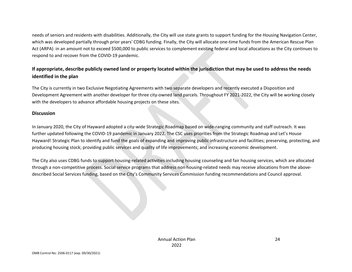needs of seniors and residents with disabilities. Additionally, the City will use state grants to support funding for the Housing Navigation Center, which was developed partially through prior years' CDBG funding. Finally, the City will allocate one-time funds from the American Rescue Plan Act (ARPA) in an amount not to exceed \$500,000 to public services to complement existing federal and local allocations as the City continues to respond to and recover from the COVID-19 pandemic.

## **If appropriate, describe publicly owned land or property located within the jurisdiction that may be used to address the needs identified in the plan**

The City is currently in two Exclusive Negotiating Agreements with two separate developers and recently executed a Disposition and Development Agreement with another developer for three city-owned land parcels. Throughout FY 2021-2022, the City will be working closely with the developers to advance affordable housing projects on these sites.

#### **Discussion**

In January 2020, the City of Hayward adopted a city-wide Strategic Roadmap based on wide-ranging community and staff outreach. It was further updated following the COVID-19 pandemic in January 2022. The CSC uses priorities from the Strategic Roadmap and Let's House Hayward! Strategic Plan to identify and fund the goals of expanding and improving public infrastructure and facilities; preserving, protecting, and producing housing stock; providing public services and quality of life improvements; and increasing economic development.

The City also uses CDBG funds to support housing-related activities including housing counseling and fair housing services, which are allocated through a non-competitive process. Social service programs that address non housing-related needs may receive allocations from the abovedescribed Social Services funding, based on the City's Community Services Commission funding recommendations and Council approval.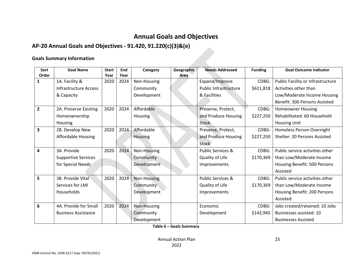# **Annual Goals and Objectives**

## **AP-20 Annual Goals and Objectives - 91.420, 91.220(c)(3)&(e)**

#### **Goals Summary Information**

| Sort           | <b>Goal Name</b>           | <b>Start</b> | End  | Category       | Geographic | <b>Needs Addressed</b>       | <b>Funding</b> | <b>Goal Outcome Indicator</b>     |
|----------------|----------------------------|--------------|------|----------------|------------|------------------------------|----------------|-----------------------------------|
| Order          |                            | Year         | Year |                | Area       |                              |                |                                   |
| 1              | 1A. Facility &             | 2020         | 2024 | Non-Housing    |            | Expand/Improve               | CDBG:          | Public Facility or Infrastructure |
|                | Infrastructure Access      |              |      | Community      |            | <b>Public Infrastructure</b> | \$611,818      | Activities other than             |
|                | & Capacity                 |              |      | Development    |            | & Facilities                 |                | Low/Moderate Income Housing       |
|                |                            |              |      |                |            |                              |                | Benefit: 300 Persons Assisted     |
| $\overline{2}$ | 2A. Preserve Existing      | 2020         | 2024 | Affordable     |            | Preserve, Protect,           | CDBG:          | <b>Homeowner Housing</b>          |
|                | Homeownership              |              |      | <b>Housing</b> |            | and Produce Housing          | \$227,250      | Rehabilitated: 60 Household       |
|                | Housing                    |              |      |                |            | Stock                        |                | Housing Unit                      |
| 3              | 2B. Develop New            | 2020         | 2024 | Affordable     |            | Preserve, Protect,           | CDBG:          | Homeless Person Overnight         |
|                | <b>Affordable Housing</b>  |              |      | Housing        |            | and Produce Housing          | \$227,250      | Shelter: 20 Persons Assisted      |
|                |                            |              |      |                |            | Stock                        |                |                                   |
| 4              | 3A. Provide                | 2020         | 2024 | Non-Housing    |            | <b>Public Services &amp;</b> | CDBG:          | Public service activities other   |
|                | <b>Supportive Services</b> |              |      | Community      |            | Quality of Life              | \$170,369      | than Low/Moderate Income          |
|                | for Special Needs          |              |      | Development    |            | Improvements                 |                | Housing Benefit: 500 Persons      |
|                |                            |              |      |                |            |                              |                | Assisted                          |
| 5              | 3B. Provide Vital          | 2020         | 2024 | Non-Housing    |            | <b>Public Services &amp;</b> | CDBG:          | Public service activities other   |
|                | Services for LMI           |              |      | Community      |            | Quality of Life              | \$170,369      | than Low/Moderate Income          |
|                | Households                 |              |      | Development    |            | Improvements                 |                | Housing Benefit: 200 Persons      |
|                |                            |              |      |                |            |                              |                | Assisted                          |
| 6              | 4A. Provide for Small      | 2020         | 2024 | Non-Housing    |            | Economic                     | CDBG:          | Jobs created/retained: 10 Jobs    |
|                | <b>Business Assistance</b> |              |      | Community      |            | Development                  | \$142,945      | Businesses assisted: 10           |
|                |                            |              |      | Development    |            |                              |                | <b>Businesses Assisted</b>        |

**Table 6 – Goals Summary**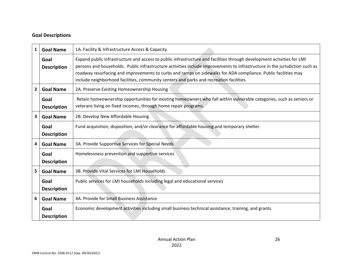#### **Goal Descriptions**

| $\mathbf{1}$            | <b>Goal Name</b>           | 1A. Facility & Infrastructure Access & Capacity                                                                                                                                                                                                                                                                                                                                                                                                                    |  |  |  |  |
|-------------------------|----------------------------|--------------------------------------------------------------------------------------------------------------------------------------------------------------------------------------------------------------------------------------------------------------------------------------------------------------------------------------------------------------------------------------------------------------------------------------------------------------------|--|--|--|--|
|                         | Goal<br><b>Description</b> | Expand public infrastructure and access to public infrastructure and facilities through development activities for LMI<br>persons and households. Public infrastructure activities include improvements to infrastructure in the jurisdiction such as<br>roadway resurfacing and improvements to curbs and ramps on sidewalks for ADA compliance. Public facilities may<br>include neighborhood facilities, community centers and parks and recreation facilities. |  |  |  |  |
| $\mathbf{2}$            | <b>Goal Name</b>           | 2A. Preserve Existing Homeownership Housing                                                                                                                                                                                                                                                                                                                                                                                                                        |  |  |  |  |
|                         | Goal<br><b>Description</b> | Retain homeownership opportunities for existing homeowners who fall within vulnerable categories, such as seniors or<br>veterans living on fixed incomes, through home repair programs.                                                                                                                                                                                                                                                                            |  |  |  |  |
| $\overline{\mathbf{3}}$ | <b>Goal Name</b>           | 2B. Develop New Affordable Housing                                                                                                                                                                                                                                                                                                                                                                                                                                 |  |  |  |  |
|                         | Goal<br><b>Description</b> | Fund acquisition, disposition, and/or clearance for affordable housing and temporary shelter.                                                                                                                                                                                                                                                                                                                                                                      |  |  |  |  |
| 4                       | <b>Goal Name</b>           | 3A. Provide Supportive Services for Special Needs                                                                                                                                                                                                                                                                                                                                                                                                                  |  |  |  |  |
|                         | Goal<br><b>Description</b> | Homelessness prevention and supportive services                                                                                                                                                                                                                                                                                                                                                                                                                    |  |  |  |  |
| 5 <sub>1</sub>          | <b>Goal Name</b>           | 3B. Provide Vital Services for LMI Households                                                                                                                                                                                                                                                                                                                                                                                                                      |  |  |  |  |
|                         | Goal<br><b>Description</b> | Public services for LMI households including legal and educational services                                                                                                                                                                                                                                                                                                                                                                                        |  |  |  |  |
| 6                       | <b>Goal Name</b>           | 4A. Provide for Small Business Assistance                                                                                                                                                                                                                                                                                                                                                                                                                          |  |  |  |  |
|                         | Goal<br><b>Description</b> | Economic development activities including small business technical assistance, training, and grants.                                                                                                                                                                                                                                                                                                                                                               |  |  |  |  |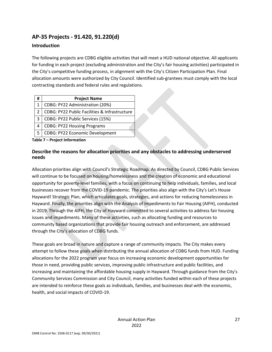## **AP-35 Projects - 91.420, 91.220(d)**

#### **Introduction**

The following projects are CDBG eligible activities that will meet a HUD national objective. All applicants for funding in each project (excluding administration and the City's fair housing activities) participated in the City's competitive funding process, in alignment with the City's Citizen Participation Plan. Final allocation amounts were authorized by City Council. Identified sub-grantees must comply with the local contracting standards and federal rules and regulations.

| #             | <b>Project Name</b>                           |
|---------------|-----------------------------------------------|
|               | CDBG: PY22 Administration (20%)               |
| $\mathcal{P}$ | CDBG: PY22 Public Facilities & Infrastructure |
| 3             | CDBG: PY22 Public Services (15%)              |
| 4             | <b>CDBG: PY22 Housing Programs</b>            |
|               | CDBG: PY22 Economic Development               |

**Table 7 – Project Information**

#### **Describe the reasons for allocation priorities and any obstacles to addressing underserved needs**

Allocation priorities align with Council's Strategic Roadmap. As directed by Council, CDBG Public Services will continue to be focused on housing/homelessness and the creation of economic and educational opportunity for poverty-level families, with a focus on continuing to help individuals, families, and local businesses recover from the COVID-19 pandemic. The priorities also align with the City's Let's House Hayward! Strategic Plan, which articulates goals, strategies, and actions for reducing homelessness in Hayward. Finally, the priorities align with the Analysis of Impediments to Fair Housing (AIFH), conducted in 2019. Through the AIFH, the City of Hayward committed to several activities to address fair housing issues and impediments. Many of these activities, such as allocating funding and resources to community based organizations that provide fair housing outreach and enforcement, are addressed through the City's allocation of CDBG funds.

These goals are broad in nature and capture a range of community impacts. The City makes every attempt to follow these goals when distributing the annual allocation of CDBG funds from HUD. Funding allocations for the 2022 program year focus on increasing economic development opportunities for those in need, providing public services, improving public infrastructure and public facilities, and increasing and maintaining the affordable housing supply in Hayward. Through guidance from the City's Community Services Commission and City Council, many activities funded within each of these projects are intended to reinforce these goals as individuals, families, and businesses deal with the economic, health, and social impacts of COVID-19.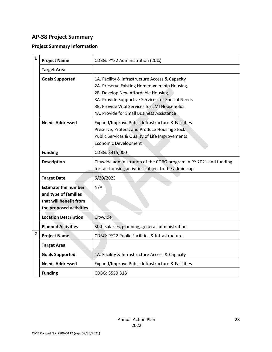## **AP-38 Project Summary**

## **Project Summary Information**

| $\mathbf{1}$ | <b>Project Name</b>                                                                                     | CDBG: PY22 Administration (20%)                                                                                                                                                                                                                                                         |  |  |
|--------------|---------------------------------------------------------------------------------------------------------|-----------------------------------------------------------------------------------------------------------------------------------------------------------------------------------------------------------------------------------------------------------------------------------------|--|--|
|              | <b>Target Area</b>                                                                                      |                                                                                                                                                                                                                                                                                         |  |  |
|              | <b>Goals Supported</b>                                                                                  | 1A. Facility & Infrastructure Access & Capacity<br>2A. Preserve Existing Homeownership Housing<br>2B. Develop New Affordable Housing<br>3A. Provide Supportive Services for Special Needs<br>3B. Provide Vital Services for LMI Households<br>4A. Provide for Small Business Assistance |  |  |
|              | <b>Needs Addressed</b>                                                                                  | Expand/Improve Public Infrastructure & Facilities<br>Preserve, Protect, and Produce Housing Stock<br>Public Services & Quality of Life Improvements<br><b>Economic Development</b>                                                                                                      |  |  |
|              | <b>Funding</b>                                                                                          | CDBG: \$315,000                                                                                                                                                                                                                                                                         |  |  |
|              | <b>Description</b>                                                                                      | Citywide administration of the CDBG program in PY 2021 and funding<br>for fair housing activities subject to the admin cap.                                                                                                                                                             |  |  |
|              | <b>Target Date</b>                                                                                      | 6/30/2023                                                                                                                                                                                                                                                                               |  |  |
|              | <b>Estimate the number</b><br>and type of families<br>that will benefit from<br>the proposed activities | N/A                                                                                                                                                                                                                                                                                     |  |  |
|              | <b>Location Description</b>                                                                             | Citywide                                                                                                                                                                                                                                                                                |  |  |
|              | <b>Planned Activities</b>                                                                               | Staff salaries, planning, general administration                                                                                                                                                                                                                                        |  |  |
| $\mathbf{2}$ | <b>Project Name</b>                                                                                     | CDBG: PY22 Public Facilities & Infrastructure                                                                                                                                                                                                                                           |  |  |
|              | <b>Target Area</b>                                                                                      |                                                                                                                                                                                                                                                                                         |  |  |
|              | <b>Goals Supported</b>                                                                                  | 1A. Facility & Infrastructure Access & Capacity                                                                                                                                                                                                                                         |  |  |
|              | <b>Needs Addressed</b>                                                                                  | Expand/Improve Public Infrastructure & Facilities                                                                                                                                                                                                                                       |  |  |
|              | <b>Funding</b>                                                                                          | CDBG: \$559,318                                                                                                                                                                                                                                                                         |  |  |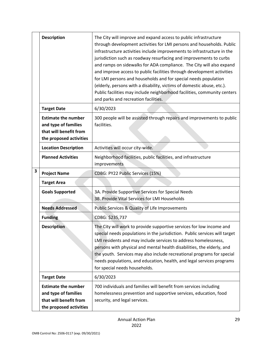|   | <b>Description</b>                                                                                      | The City will improve and expand access to public infrastructure<br>through development activities for LMI persons and households. Public<br>infrastructure activities include improvements to infrastructure in the<br>jurisdiction such as roadway resurfacing and improvements to curbs<br>and ramps on sidewalks for ADA compliance. The City will also expand<br>and improve access to public facilities through development activities<br>for LMI persons and households and for special needs population<br>(elderly, persons with a disability, victims of domestic abuse, etc.).<br>Public facilities may include neighborhood facilities, community centers<br>and parks and recreation facilities. |
|---|---------------------------------------------------------------------------------------------------------|---------------------------------------------------------------------------------------------------------------------------------------------------------------------------------------------------------------------------------------------------------------------------------------------------------------------------------------------------------------------------------------------------------------------------------------------------------------------------------------------------------------------------------------------------------------------------------------------------------------------------------------------------------------------------------------------------------------|
|   | <b>Target Date</b>                                                                                      | 6/30/2023                                                                                                                                                                                                                                                                                                                                                                                                                                                                                                                                                                                                                                                                                                     |
|   | <b>Estimate the number</b><br>and type of families<br>that will benefit from<br>the proposed activities | 300 people will be assisted through repairs and improvements to public<br>facilities.                                                                                                                                                                                                                                                                                                                                                                                                                                                                                                                                                                                                                         |
|   | <b>Location Description</b>                                                                             | Activities will occur city-wide.                                                                                                                                                                                                                                                                                                                                                                                                                                                                                                                                                                                                                                                                              |
|   | <b>Planned Activities</b>                                                                               | Neighborhood facilities, public facilities, and infrastructure<br>improvements                                                                                                                                                                                                                                                                                                                                                                                                                                                                                                                                                                                                                                |
| 3 | <b>Project Name</b>                                                                                     | CDBG: PY22 Public Services (15%)                                                                                                                                                                                                                                                                                                                                                                                                                                                                                                                                                                                                                                                                              |
|   | <b>Target Area</b>                                                                                      |                                                                                                                                                                                                                                                                                                                                                                                                                                                                                                                                                                                                                                                                                                               |
|   | <b>Goals Supported</b>                                                                                  | 3A. Provide Supportive Services for Special Needs<br>3B. Provide Vital Services for LMI Households                                                                                                                                                                                                                                                                                                                                                                                                                                                                                                                                                                                                            |
|   | <b>Needs Addressed</b>                                                                                  | Public Services & Quality of Life Improvements                                                                                                                                                                                                                                                                                                                                                                                                                                                                                                                                                                                                                                                                |
|   | <b>Funding</b>                                                                                          | CDBG: \$235,737                                                                                                                                                                                                                                                                                                                                                                                                                                                                                                                                                                                                                                                                                               |
|   | <b>Description</b>                                                                                      | The City will work to provide supportive services for low income and<br>special needs populations in the jurisdiction. Public services will target<br>LMI residents and may include services to address homelessness,<br>persons with physical and mental health disabilities, the elderly, and<br>the youth. Services may also include recreational programs for special<br>needs populations, and education, health, and legal services programs<br>for special needs households.                                                                                                                                                                                                                           |
|   | <b>Target Date</b>                                                                                      | 6/30/2023                                                                                                                                                                                                                                                                                                                                                                                                                                                                                                                                                                                                                                                                                                     |
|   | <b>Estimate the number</b><br>and type of families<br>that will benefit from<br>the proposed activities | 700 individuals and families will benefit from services including<br>homelessness prevention and supportive services, education, food<br>security, and legal services.                                                                                                                                                                                                                                                                                                                                                                                                                                                                                                                                        |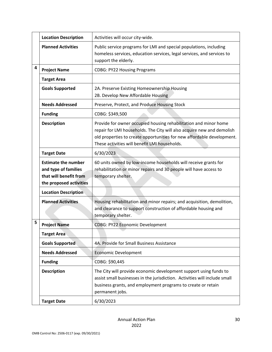|   | <b>Location Description</b>                                                                             | Activities will occur city-wide.                                                                                                                                                                                                                                      |
|---|---------------------------------------------------------------------------------------------------------|-----------------------------------------------------------------------------------------------------------------------------------------------------------------------------------------------------------------------------------------------------------------------|
|   | <b>Planned Activities</b>                                                                               | Public service programs for LMI and special populations, including<br>homeless services, education services, legal services, and services to<br>support the elderly.                                                                                                  |
| 4 | <b>Project Name</b>                                                                                     | <b>CDBG: PY22 Housing Programs</b>                                                                                                                                                                                                                                    |
|   | <b>Target Area</b>                                                                                      |                                                                                                                                                                                                                                                                       |
|   | <b>Goals Supported</b>                                                                                  | 2A. Preserve Existing Homeownership Housing<br>2B. Develop New Affordable Housing                                                                                                                                                                                     |
|   | <b>Needs Addressed</b>                                                                                  | Preserve, Protect, and Produce Housing Stock                                                                                                                                                                                                                          |
|   | <b>Funding</b>                                                                                          | CDBG: \$349,500                                                                                                                                                                                                                                                       |
|   | <b>Description</b>                                                                                      | Provide for owner occupied housing rehabilitation and minor home<br>repair for LMI households. The City will also acquire new and demolish<br>old properties to create opportunities for new affordable development.<br>These activities will benefit LMI households. |
|   | <b>Target Date</b>                                                                                      | 6/30/2023                                                                                                                                                                                                                                                             |
|   | <b>Estimate the number</b><br>and type of families<br>that will benefit from<br>the proposed activities | 60 units owned by low-income households will receive grants for<br>rehabilitation or minor repairs and 30 people will have access to<br>temporary shelter.                                                                                                            |
|   | <b>Location Description</b>                                                                             |                                                                                                                                                                                                                                                                       |
|   | <b>Planned Activities</b>                                                                               | Housing rehabilitation and minor repairs; and acquisition, demolition,<br>and clearance to support construction of affordable housing and<br>temporary shelter.                                                                                                       |
| 5 | <b>Project Name</b>                                                                                     | <b>CDBG: PY22 Economic Development</b>                                                                                                                                                                                                                                |
|   | <b>Target Area</b>                                                                                      |                                                                                                                                                                                                                                                                       |
|   | <b>Goals Supported</b>                                                                                  | 4A. Provide for Small Business Assistance                                                                                                                                                                                                                             |
|   | <b>Needs Addressed</b>                                                                                  | <b>Economic Development</b>                                                                                                                                                                                                                                           |
|   | <b>Funding</b>                                                                                          | CDBG: \$90,445                                                                                                                                                                                                                                                        |
|   | <b>Description</b>                                                                                      | The City will provide economic development support using funds to<br>assist small businesses in the jurisdiction. Activities will include small<br>business grants, and employment programs to create or retain<br>permanent jobs.                                    |
|   | <b>Target Date</b>                                                                                      | 6/30/2023                                                                                                                                                                                                                                                             |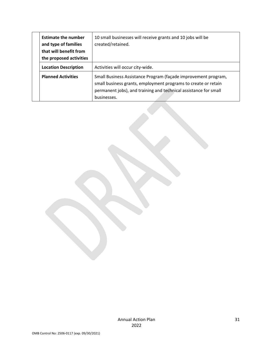| <b>Estimate the number</b><br>and type of families<br>that will benefit from<br>the proposed activities | 10 small businesses will receive grants and 10 jobs will be<br>created/retained.                                                                                                                                    |
|---------------------------------------------------------------------------------------------------------|---------------------------------------------------------------------------------------------------------------------------------------------------------------------------------------------------------------------|
| <b>Location Description</b>                                                                             | Activities will occur city-wide.                                                                                                                                                                                    |
| <b>Planned Activities</b>                                                                               | Small Business Assistance Program (façade improvement program,<br>small business grants, employment programs to create or retain<br>permanent jobs), and training and technical assistance for small<br>businesses. |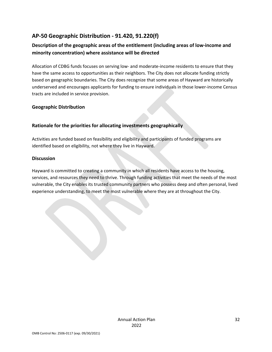## **AP-50 Geographic Distribution - 91.420, 91.220(f)**

## **Description of the geographic areas of the entitlement (including areas of low-income and minority concentration) where assistance will be directed**

Allocation of CDBG funds focuses on serving low- and moderate-income residents to ensure that they have the same access to opportunities as their neighbors. The City does not allocate funding strictly based on geographic boundaries. The City does recognize that some areas of Hayward are historically underserved and encourages applicants for funding to ensure individuals in those lower-income Census tracts are included in service provision.

#### **Geographic Distribution**

#### **Rationale for the priorities for allocating investments geographically**

Activities are funded based on feasibility and eligibility and participants of funded programs are identified based on eligibility, not where they live in Hayward.

#### **Discussion**

Hayward is committed to creating a community in which all residents have access to the housing, services, and resources they need to thrive. Through funding activities that meet the needs of the most vulnerable, the City enables its trusted community partners who possess deep and often personal, lived experience understanding, to meet the most vulnerable where they are at throughout the City.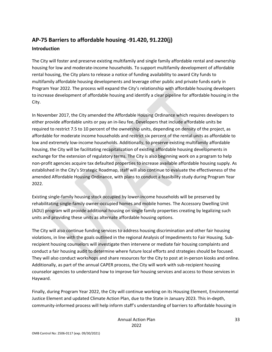## **AP-75 Barriers to affordable housing -91.420, 91.220(j) Introduction**

The City will foster and preserve existing multifamily and single family affordable rental and ownership housing for low and moderate-income households. To support multifamily development of affordable rental housing, the City plans to release a notice of funding availability to award City funds to multifamily affordable housing developments and leverage other public and private funds early in Program Year 2022. The process will expand the City's relationship with affordable housing developers to increase development of affordable housing and identify a clear pipeline for affordable housing in the City.

In November 2017, the City amended the Affordable Housing Ordinance which requires developers to either provide affordable units or pay an in-lieu fee. Developers that include affordable units be required to restrict 7.5 to 10 percent of the ownership units, depending on density of the project, as affordable for moderate income households and restrict six percent of the rental units as affordable to low and extremely low-income households. Additionally, to preserve existing multifamily affordable housing, the City will be facilitating recapitalization of existing affordable housing developments in exchange for the extension of regulatory terms. The City is also beginning work on a program to help non-profit agencies acquire tax defaulted properties to increase available affordable housing supply. As established in the City's Strategic Roadmap, staff will also continue to evaluate the effectiveness of the amended Affordable Housing Ordinance, with plans to conduct a feasibility study during Program Year 2022.

Existing single-family housing stock occupied by lower-income households will be preserved by rehabilitating single-family owner-occupied homes and mobile homes. The Accessory Dwelling Unit (ADU) program will provide additional housing on single family properties creating by legalizing such units and providing these units as alternate affordable housing options.

The City will also continue funding services to address housing discrimination and other fair housing violations, in line with the goals outlined in the regional Analysis of Impediments to Fair Housing. Subrecipient housing counselors will investigate then intervene or mediate fair housing complaints and conduct a fair housing audit to determine where future local efforts and strategies should be focused. They will also conduct workshops and share resources for the City to post at in-person kiosks and online. Additionally, as part of the annual CAPER process, the City will work with sub-recipient housing counselor agencies to understand how to improve fair housing services and access to those services in Hayward.

Finally, during Program Year 2022, the City will continue working on its Housing Element, Environmental Justice Element and updated Climate Action Plan, due to the State in January 2023. This in-depth, community-informed process will help inform staff's understanding of barriers to affordable housing in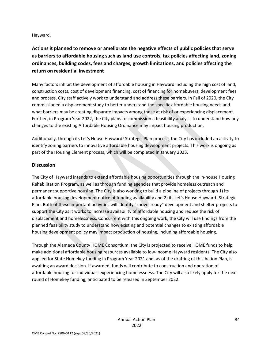Hayward.

**Actions it planned to remove or ameliorate the negative effects of public policies that serve as barriers to affordable housing such as land use controls, tax policies affecting land, zoning ordinances, building codes, fees and charges, growth limitations, and policies affecting the return on residential investment**

Many factors inhibit the development of affordable housing in Hayward including the high cost of land, construction costs, cost of development financing, cost of financing for homebuyers, development fees and process. City staff actively work to understand and address these barriers. In Fall of 2020, the City commissioned a displacement study to better understand the specific affordable housing needs and what barriers may be creating disparate impacts among those at risk of or experiencing displacement. Further, in Program Year 2022, the City plans to commission a feasibility analysis to understand how any changes to the existing Affordable Housing Ordinance may impact housing production.

Additionally, through its Let's House Hayward! Strategic Plan process, the City has included an activity to identify zoning barriers to innovative affordable housing development projects. This work is ongoing as part of the Housing Element process, which will be completed in January 2023.

#### **Discussion**

The City of Hayward intends to extend affordable housing opportunities through the in-house Housing Rehabilitation Program, as well as through funding agencies that provide homeless outreach and permanent supportive housing. The City is also working to build a pipeline of projects through 1) its affordable housing development notice of funding availability and 2) its Let's House Hayward! Strategic Plan. Both of these important activities will identify "shovel ready" development and shelter projects to support the City as it works to increase availability of affordable housing and reduce the risk of displacement and homelessness. Concurrent with this ongoing work, the City will use findings from the planned feasibility study to understand how existing and potential changes to existing affordable housing development policy may impact production of housing, including affordable housing.

Through the Alameda County HOME Consortium, the City is projected to receive HOME funds to help make additional affordable housing resources available to low-income Hayward residents. The City also applied for State Homekey funding in Program Year 2021 and, as of the drafting of this Action Plan, is awaiting an award decision. If awarded, funds will contribute to construction and operation of affordable housing for individuals experiencing homelessness. The City will also likely apply for the next round of Homekey funding, anticipated to be released in September 2022.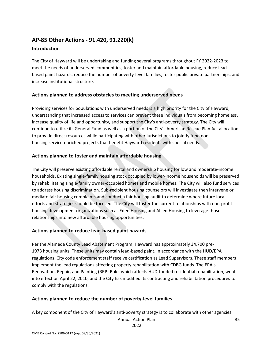## **AP-85 Other Actions - 91.420, 91.220(k)**

#### **Introduction**

The City of Hayward will be undertaking and funding several programs throughout FY 2022-2023 to meet the needs of underserved communities, foster and maintain affordable housing, reduce leadbased paint hazards, reduce the number of poverty-level families, foster public private partnerships, and increase institutional structure.

#### **Actions planned to address obstacles to meeting underserved needs**

Providing services for populations with underserved needs is a high priority for the City of Hayward, understanding that increased access to services can prevent these individuals from becoming homeless, increase quality of life and opportunity, and support the City's anti-poverty strategy. The City will continue to utilize its General Fund as well as a portion of the City's American Rescue Plan Act allocation to provide direct resources while participating with other jurisdictions to jointly fund nonhousing service-enriched projects that benefit Hayward residents with special needs.

#### **Actions planned to foster and maintain affordable housing**

The City will preserve existing affordable rental and ownership housing for low and moderate-income households. Existing single-family housing stock occupied by lower-income households will be preserved by rehabilitating single-family owner-occupied homes and mobile homes. The City will also fund services to address housing discrimination. Sub-recipient housing counselors will investigate then intervene or mediate fair housing complaints and conduct a fair housing audit to determine where future local efforts and strategies should be focused. The City will foster the current relationships with non-profit housing development organizations such as Eden Housing and Allied Housing to leverage those relationships into new affordable housing opportunities.

#### **Actions planned to reduce lead-based paint hazards**

Per the Alameda County Lead Abatement Program, Hayward has approximately 34,700 pre-1978 housing units. These units may contain lead-based paint. In accordance with the HUD/EPA regulations, City code enforcement staff receive certification as Lead Supervisors. These staff members implement the lead regulations affecting property rehabilitation with CDBG funds. The EPA's Renovation, Repair, and Painting (RRP) Rule, which affects HUD-funded residential rehabilitation, went into effect on April 22, 2010, and the City has modified its contracting and rehabilitation procedures to comply with the regulations.

#### **Actions planned to reduce the number of poverty-level families**

A key component of the City of Hayward's anti-poverty strategy is to collaborate with other agencies

Annual Action Plan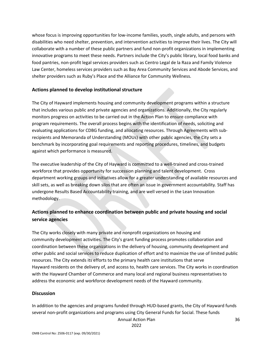whose focus is improving opportunities for low-income families, youth, single adults, and persons with disabilities who need shelter, prevention, and intervention activities to improve their lives. The City will collaborate with a number of these public partners and fund non-profit organizations in implementing innovative programs to meet these needs. Partners include the City's public library, local food banks and food pantries, non-profit legal services providers such as Centro Legal de la Raza and Family Violence Law Center, homeless services providers such as Bay Area Community Services and Abode Services, and shelter providers such as Ruby's Place and the Alliance for Community Wellness.

#### **Actions planned to develop institutional structure**

The City of Hayward implements housing and community development programs within a structure that includes various public and private agencies and organizations. Additionally, the City regularly monitors progress on activities to be carried out in the Action Plan to ensure compliance with program requirements. The overall process begins with the identification of needs, soliciting and evaluating applications for CDBG funding, and allocating resources. Through Agreements with subrecipients and Memoranda of Understanding (MOUs) with other public agencies, the City sets a benchmark by incorporating goal requirements and reporting procedures, timelines, and budgets against which performance is measured.

The executive leadership of the City of Hayward is committed to a well-trained and cross-trained workforce that provides opportunity for succession planning and talent development. Cross department working groups and initiatives allow for a greater understanding of available resources and skill sets, as well as breaking down silos that are often an issue in government accountability. Staff has undergone Results Based Accountability training, and are well versed in the Lean Innovation methodology.

#### **Actions planned to enhance coordination between public and private housing and social service agencies**

The City works closely with many private and nonprofit organizations on housing and community development activities. The City's grant funding process promotes collaboration and coordination between these organizations in the delivery of housing, community development and other public and social services to reduce duplication of effort and to maximize the use of limited public resources. The City extends its efforts to the primary health care institutions that serve Hayward residents on the delivery of, and access to, health care services. The City works in coordination with the Hayward Chamber of Commerce and many local and regional business representatives to address the economic and workforce development needs of the Hayward community.

#### **Discussion**

In addition to the agencies and programs funded through HUD-based grants, the City of Hayward funds several non-profit organizations and programs using City General Funds for Social. These funds

Annual Action Plan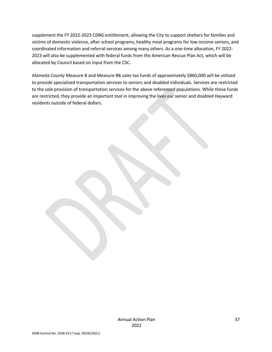supplement the FY 2022-2023 CDBG entitlement, allowing the City to support shelters for families and victims of domestic violence, after school programs, healthy meal programs for low-income seniors, and coordinated information and referral services among many others. As a one-time allocation, FY 2022- 2023 will also be supplemented with federal funds from the American Rescue Plan Act, which will be allocated by Council based on input from the CSC.

Alameda County Measure B and Measure BB sales tax funds of approximately \$860,000 will be utilized to provide specialized transportation services to seniors and disabled individuals. Services are restricted to the sole provision of transportation services for the above referenced populations. While these funds are restricted, they provide an important tool in improving the lives our senior and disabled Hayward residents outside of federal dollars.

Annual Action Plan 2022